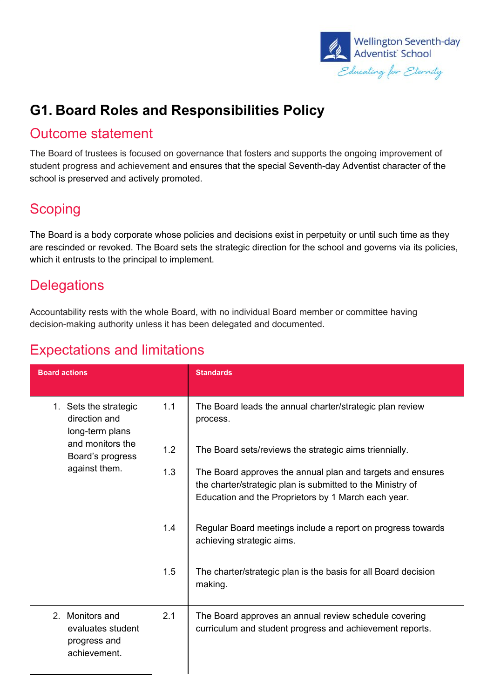

## **G1. Board Roles and Responsibilities Policy**

#### Outcome statement

The Board of trustees is focused on governance that fosters and supports the ongoing improvement of student progress and achievement and ensures that the special Seventh-day Adventist character of the school is preserved and actively promoted.

#### **Scoping**

The Board is a body corporate whose policies and decisions exist in perpetuity or until such time as they are rescinded or revoked. The Board sets the strategic direction for the school and governs via its policies, which it entrusts to the principal to implement.

#### **Delegations**

Accountability rests with the whole Board, with no individual Board member or committee having decision-making authority unless it has been delegated and documented.

| <b>Board actions</b>                                                                                               |            | <b>Standards</b>                                                                                                                                                                |
|--------------------------------------------------------------------------------------------------------------------|------------|---------------------------------------------------------------------------------------------------------------------------------------------------------------------------------|
| 1. Sets the strategic<br>direction and<br>long-term plans<br>and monitors the<br>Board's progress<br>against them. | 1.1<br>1.2 | The Board leads the annual charter/strategic plan review<br>process.<br>The Board sets/reviews the strategic aims triennially.                                                  |
|                                                                                                                    | 1.3        | The Board approves the annual plan and targets and ensures<br>the charter/strategic plan is submitted to the Ministry of<br>Education and the Proprietors by 1 March each year. |
|                                                                                                                    | 1.4        | Regular Board meetings include a report on progress towards<br>achieving strategic aims.                                                                                        |
|                                                                                                                    | 1.5        | The charter/strategic plan is the basis for all Board decision<br>making.                                                                                                       |
| 2. Monitors and<br>evaluates student<br>progress and<br>achievement.                                               | 2.1        | The Board approves an annual review schedule covering<br>curriculum and student progress and achievement reports.                                                               |

### Expectations and limitations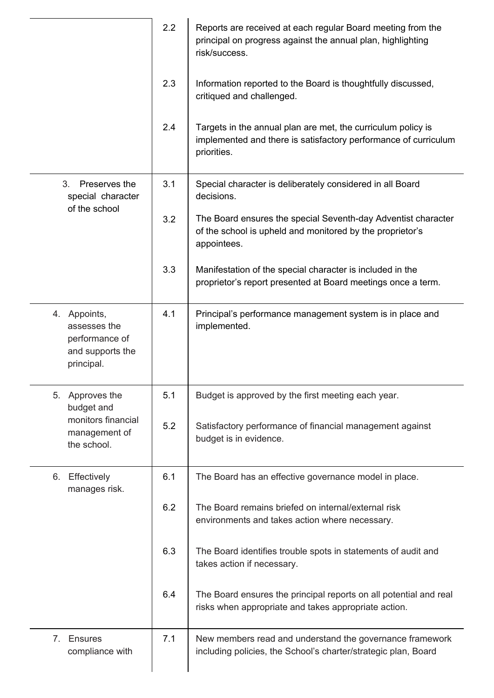|                                                                                        | 2.2 | Reports are received at each regular Board meeting from the<br>principal on progress against the annual plan, highlighting<br>risk/success.    |  |  |
|----------------------------------------------------------------------------------------|-----|------------------------------------------------------------------------------------------------------------------------------------------------|--|--|
|                                                                                        | 2.3 | Information reported to the Board is thoughtfully discussed,<br>critiqued and challenged.                                                      |  |  |
|                                                                                        | 2.4 | Targets in the annual plan are met, the curriculum policy is<br>implemented and there is satisfactory performance of curriculum<br>priorities. |  |  |
| Preserves the<br>3.<br>special character<br>of the school                              | 3.1 | Special character is deliberately considered in all Board<br>decisions.                                                                        |  |  |
|                                                                                        | 3.2 | The Board ensures the special Seventh-day Adventist character<br>of the school is upheld and monitored by the proprietor's<br>appointees.      |  |  |
|                                                                                        | 3.3 | Manifestation of the special character is included in the<br>proprietor's report presented at Board meetings once a term.                      |  |  |
| 4. Appoints,<br>assesses the<br>performance of<br>and supports the<br>principal.       | 4.1 | Principal's performance management system is in place and<br>implemented.                                                                      |  |  |
| Approves the<br>5.<br>budget and<br>monitors financial<br>management of<br>the school. | 5.1 | Budget is approved by the first meeting each year.                                                                                             |  |  |
|                                                                                        | 5.2 | Satisfactory performance of financial management against<br>budget is in evidence.                                                             |  |  |
| Effectively<br>6.<br>manages risk.                                                     | 6.1 | The Board has an effective governance model in place.                                                                                          |  |  |
|                                                                                        | 6.2 | The Board remains briefed on internal/external risk<br>environments and takes action where necessary.                                          |  |  |
|                                                                                        | 6.3 | The Board identifies trouble spots in statements of audit and<br>takes action if necessary.                                                    |  |  |
|                                                                                        | 6.4 | The Board ensures the principal reports on all potential and real<br>risks when appropriate and takes appropriate action.                      |  |  |
| Ensures<br>$7_{\circ}$<br>compliance with                                              | 7.1 | New members read and understand the governance framework<br>including policies, the School's charter/strategic plan, Board                     |  |  |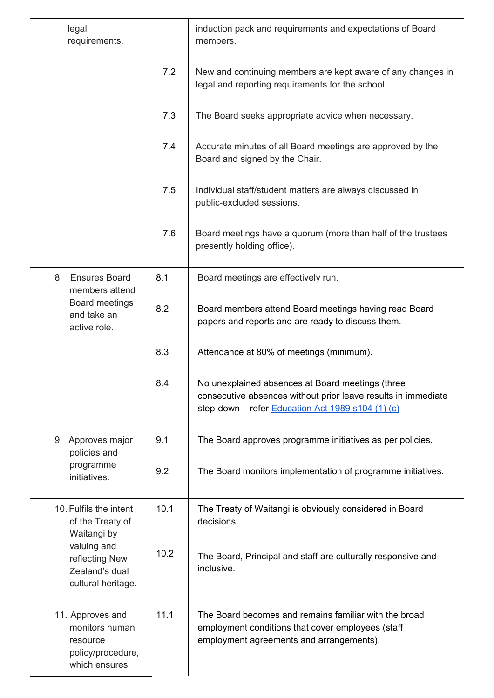| legal<br>requirements.                                                                        |      | induction pack and requirements and expectations of Board<br>members.                                                                                                  |  |
|-----------------------------------------------------------------------------------------------|------|------------------------------------------------------------------------------------------------------------------------------------------------------------------------|--|
|                                                                                               | 7.2  | New and continuing members are kept aware of any changes in<br>legal and reporting requirements for the school.                                                        |  |
|                                                                                               | 7.3  | The Board seeks appropriate advice when necessary.                                                                                                                     |  |
|                                                                                               | 7.4  | Accurate minutes of all Board meetings are approved by the<br>Board and signed by the Chair.                                                                           |  |
|                                                                                               | 7.5  | Individual staff/student matters are always discussed in<br>public-excluded sessions.                                                                                  |  |
|                                                                                               | 7.6  | Board meetings have a quorum (more than half of the trustees<br>presently holding office).                                                                             |  |
| <b>Ensures Board</b><br>8.<br>members attend<br>Board meetings<br>and take an<br>active role. | 8.1  | Board meetings are effectively run.                                                                                                                                    |  |
|                                                                                               | 8.2  | Board members attend Board meetings having read Board<br>papers and reports and are ready to discuss them.                                                             |  |
|                                                                                               | 8.3  | Attendance at 80% of meetings (minimum).                                                                                                                               |  |
|                                                                                               | 8.4  | No unexplained absences at Board meetings (three<br>consecutive absences without prior leave results in immediate<br>step-down - refer Education Act 1989 s104 (1) (c) |  |
| 9. Approves major<br>policies and                                                             | 9.1  | The Board approves programme initiatives as per policies.                                                                                                              |  |
| programme<br>initiatives.                                                                     | 9.2  | The Board monitors implementation of programme initiatives.                                                                                                            |  |
| 10. Fulfils the intent<br>of the Treaty of<br>Waitangi by                                     | 10.1 | The Treaty of Waitangi is obviously considered in Board<br>decisions.                                                                                                  |  |
| valuing and<br>reflecting New<br>Zealand's dual<br>cultural heritage.                         | 10.2 | The Board, Principal and staff are culturally responsive and<br>inclusive.                                                                                             |  |
| 11. Approves and<br>monitors human<br>resource<br>policy/procedure,<br>which ensures          | 11.1 | The Board becomes and remains familiar with the broad<br>employment conditions that cover employees (staff<br>employment agreements and arrangements).                 |  |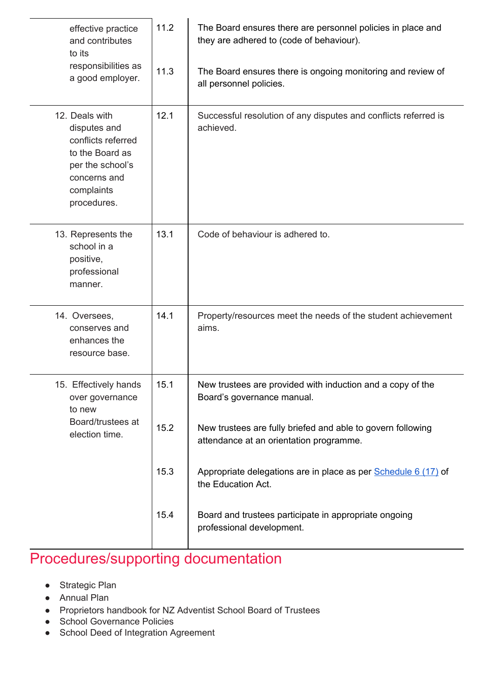| effective practice<br>and contributes<br>to its<br>responsibilities as<br>a good employer.                                               | 11.2<br>11.3 | The Board ensures there are personnel policies in place and<br>they are adhered to (code of behaviour).<br>The Board ensures there is ongoing monitoring and review of<br>all personnel policies. |  |
|------------------------------------------------------------------------------------------------------------------------------------------|--------------|---------------------------------------------------------------------------------------------------------------------------------------------------------------------------------------------------|--|
| 12. Deals with<br>disputes and<br>conflicts referred<br>to the Board as<br>per the school's<br>concerns and<br>complaints<br>procedures. | 12.1         | Successful resolution of any disputes and conflicts referred is<br>achieved.                                                                                                                      |  |
| 13. Represents the<br>school in a<br>positive,<br>professional<br>manner.                                                                | 13.1         | Code of behaviour is adhered to.                                                                                                                                                                  |  |
| 14. Oversees,<br>conserves and<br>enhances the<br>resource base.                                                                         | 14.1         | Property/resources meet the needs of the student achievement<br>aims.                                                                                                                             |  |
| 15. Effectively hands<br>over governance<br>to new<br>Board/trustees at<br>election time.                                                | 15.1         | New trustees are provided with induction and a copy of the<br>Board's governance manual.                                                                                                          |  |
|                                                                                                                                          | 15.2         | New trustees are fully briefed and able to govern following<br>attendance at an orientation programme.                                                                                            |  |
|                                                                                                                                          | 15.3         | Appropriate delegations are in place as per Schedule 6 (17) of<br>the Education Act.                                                                                                              |  |
|                                                                                                                                          | 15.4         | Board and trustees participate in appropriate ongoing<br>professional development.                                                                                                                |  |

# Procedures/supporting documentation

- Strategic Plan
- Annual Plan
- Proprietors handbook for NZ Adventist School Board of Trustees
- School Governance Policies
- School Deed of Integration Agreement